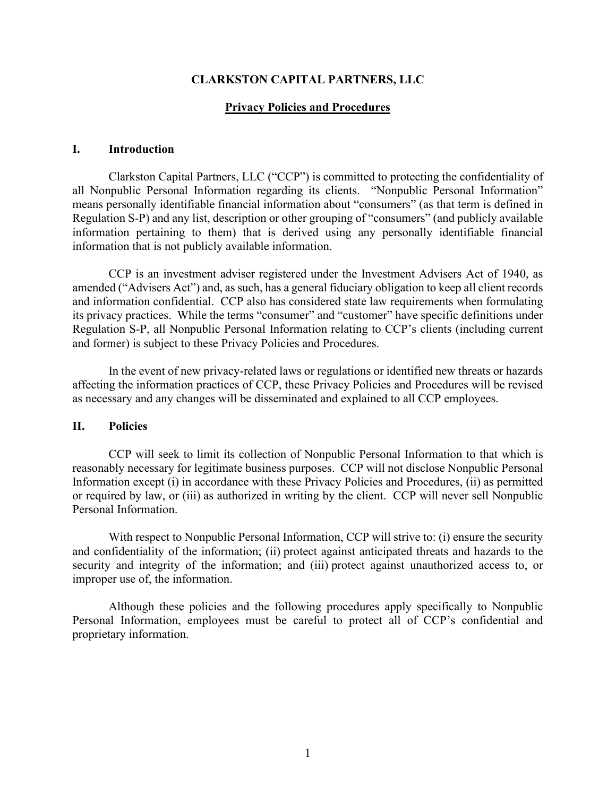#### **CLARKSTON CAPITAL PARTNERS, LLC**

#### **Privacy Policies and Procedures**

#### **I. Introduction**

Clarkston Capital Partners, LLC ("CCP") is committed to protecting the confidentiality of all Nonpublic Personal Information regarding its clients. "Nonpublic Personal Information" means personally identifiable financial information about "consumers" (as that term is defined in Regulation S-P) and any list, description or other grouping of "consumers" (and publicly available information pertaining to them) that is derived using any personally identifiable financial information that is not publicly available information.

CCP is an investment adviser registered under the Investment Advisers Act of 1940, as amended ("Advisers Act") and, as such, has a general fiduciary obligation to keep all client records and information confidential. CCP also has considered state law requirements when formulating its privacy practices. While the terms "consumer" and "customer" have specific definitions under Regulation S-P, all Nonpublic Personal Information relating to CCP's clients (including current and former) is subject to these Privacy Policies and Procedures.

In the event of new privacy-related laws or regulations or identified new threats or hazards affecting the information practices of CCP, these Privacy Policies and Procedures will be revised as necessary and any changes will be disseminated and explained to all CCP employees.

#### **II. Policies**

CCP will seek to limit its collection of Nonpublic Personal Information to that which is reasonably necessary for legitimate business purposes. CCP will not disclose Nonpublic Personal Information except (i) in accordance with these Privacy Policies and Procedures, (ii) as permitted or required by law, or (iii) as authorized in writing by the client. CCP will never sell Nonpublic Personal Information.

With respect to Nonpublic Personal Information, CCP will strive to: (i) ensure the security and confidentiality of the information; (ii) protect against anticipated threats and hazards to the security and integrity of the information; and (iii) protect against unauthorized access to, or improper use of, the information.

Although these policies and the following procedures apply specifically to Nonpublic Personal Information, employees must be careful to protect all of CCP's confidential and proprietary information.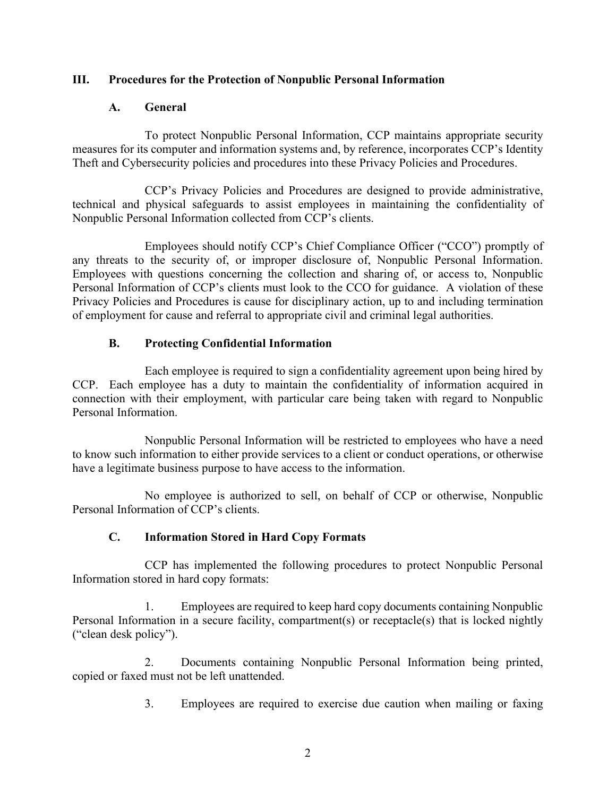## **III. Procedures for the Protection of Nonpublic Personal Information**

#### **A. General**

To protect Nonpublic Personal Information, CCP maintains appropriate security measures for its computer and information systems and, by reference, incorporates CCP's Identity Theft and Cybersecurity policies and procedures into these Privacy Policies and Procedures.

CCP's Privacy Policies and Procedures are designed to provide administrative, technical and physical safeguards to assist employees in maintaining the confidentiality of Nonpublic Personal Information collected from CCP's clients.

Employees should notify CCP's Chief Compliance Officer ("CCO") promptly of any threats to the security of, or improper disclosure of, Nonpublic Personal Information. Employees with questions concerning the collection and sharing of, or access to, Nonpublic Personal Information of CCP's clients must look to the CCO for guidance. A violation of these Privacy Policies and Procedures is cause for disciplinary action, up to and including termination of employment for cause and referral to appropriate civil and criminal legal authorities.

#### **B. Protecting Confidential Information**

Each employee is required to sign a confidentiality agreement upon being hired by CCP. Each employee has a duty to maintain the confidentiality of information acquired in connection with their employment, with particular care being taken with regard to Nonpublic Personal Information.

Nonpublic Personal Information will be restricted to employees who have a need to know such information to either provide services to a client or conduct operations, or otherwise have a legitimate business purpose to have access to the information.

No employee is authorized to sell, on behalf of CCP or otherwise, Nonpublic Personal Information of CCP's clients.

## **C. Information Stored in Hard Copy Formats**

CCP has implemented the following procedures to protect Nonpublic Personal Information stored in hard copy formats:

1. Employees are required to keep hard copy documents containing Nonpublic Personal Information in a secure facility, compartment(s) or receptacle(s) that is locked nightly ("clean desk policy").

2. Documents containing Nonpublic Personal Information being printed, copied or faxed must not be left unattended.

3. Employees are required to exercise due caution when mailing or faxing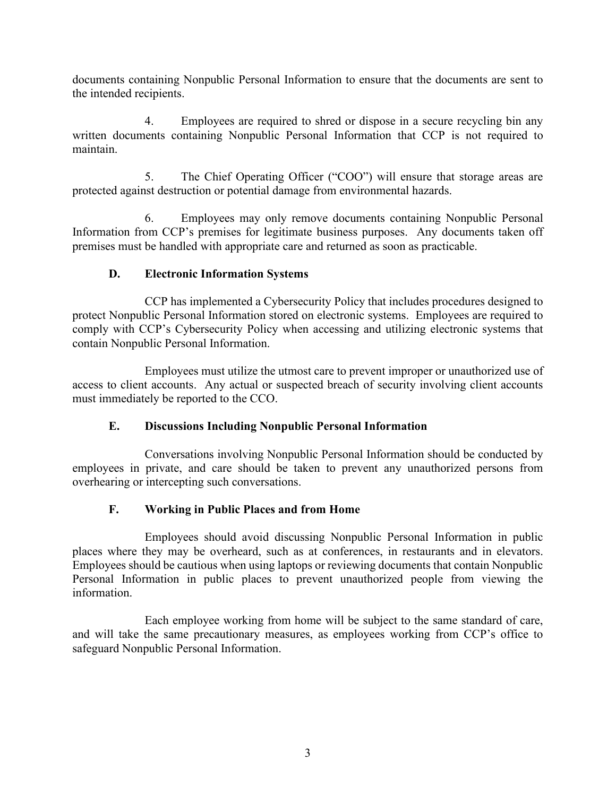documents containing Nonpublic Personal Information to ensure that the documents are sent to the intended recipients.

4. Employees are required to shred or dispose in a secure recycling bin any written documents containing Nonpublic Personal Information that CCP is not required to maintain.

5. The Chief Operating Officer ("COO") will ensure that storage areas are protected against destruction or potential damage from environmental hazards.

6. Employees may only remove documents containing Nonpublic Personal Information from CCP's premises for legitimate business purposes. Any documents taken off premises must be handled with appropriate care and returned as soon as practicable.

# **D. Electronic Information Systems**

CCP has implemented a Cybersecurity Policy that includes procedures designed to protect Nonpublic Personal Information stored on electronic systems. Employees are required to comply with CCP's Cybersecurity Policy when accessing and utilizing electronic systems that contain Nonpublic Personal Information.

Employees must utilize the utmost care to prevent improper or unauthorized use of access to client accounts. Any actual or suspected breach of security involving client accounts must immediately be reported to the CCO.

# **E. Discussions Including Nonpublic Personal Information**

Conversations involving Nonpublic Personal Information should be conducted by employees in private, and care should be taken to prevent any unauthorized persons from overhearing or intercepting such conversations.

# **F. Working in Public Places and from Home**

Employees should avoid discussing Nonpublic Personal Information in public places where they may be overheard, such as at conferences, in restaurants and in elevators. Employees should be cautious when using laptops or reviewing documents that contain Nonpublic Personal Information in public places to prevent unauthorized people from viewing the information.

Each employee working from home will be subject to the same standard of care, and will take the same precautionary measures, as employees working from CCP's office to safeguard Nonpublic Personal Information.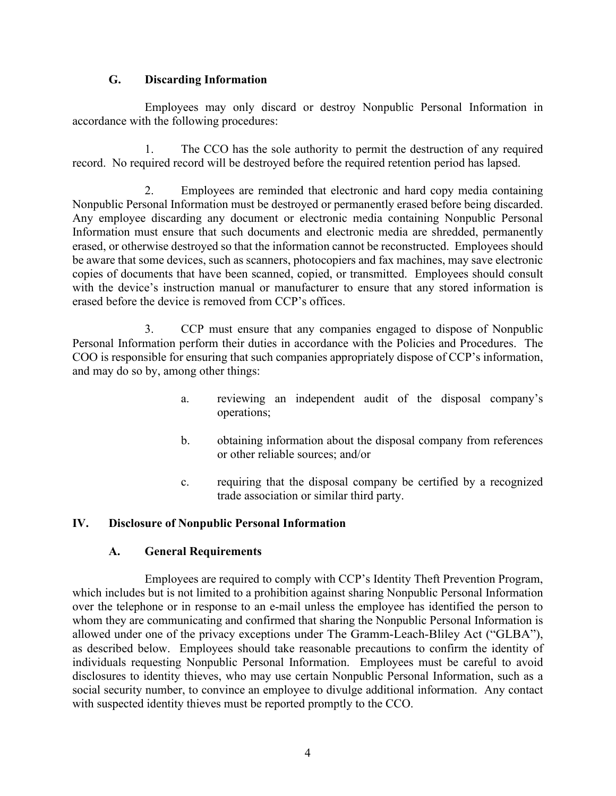#### **G. Discarding Information**

Employees may only discard or destroy Nonpublic Personal Information in accordance with the following procedures:

1. The CCO has the sole authority to permit the destruction of any required record. No required record will be destroyed before the required retention period has lapsed.

2. Employees are reminded that electronic and hard copy media containing Nonpublic Personal Information must be destroyed or permanently erased before being discarded. Any employee discarding any document or electronic media containing Nonpublic Personal Information must ensure that such documents and electronic media are shredded, permanently erased, or otherwise destroyed so that the information cannot be reconstructed. Employees should be aware that some devices, such as scanners, photocopiers and fax machines, may save electronic copies of documents that have been scanned, copied, or transmitted. Employees should consult with the device's instruction manual or manufacturer to ensure that any stored information is erased before the device is removed from CCP's offices.

3. CCP must ensure that any companies engaged to dispose of Nonpublic Personal Information perform their duties in accordance with the Policies and Procedures. The COO is responsible for ensuring that such companies appropriately dispose of CCP's information, and may do so by, among other things:

- a. reviewing an independent audit of the disposal company's operations;
- b. obtaining information about the disposal company from references or other reliable sources; and/or
- c. requiring that the disposal company be certified by a recognized trade association or similar third party.

## **IV. Disclosure of Nonpublic Personal Information**

#### **A. General Requirements**

Employees are required to comply with CCP's Identity Theft Prevention Program, which includes but is not limited to a prohibition against sharing Nonpublic Personal Information over the telephone or in response to an e-mail unless the employee has identified the person to whom they are communicating and confirmed that sharing the Nonpublic Personal Information is allowed under one of the privacy exceptions under The Gramm-Leach-Bliley Act ("GLBA"), as described below. Employees should take reasonable precautions to confirm the identity of individuals requesting Nonpublic Personal Information. Employees must be careful to avoid disclosures to identity thieves, who may use certain Nonpublic Personal Information, such as a social security number, to convince an employee to divulge additional information. Any contact with suspected identity thieves must be reported promptly to the CCO.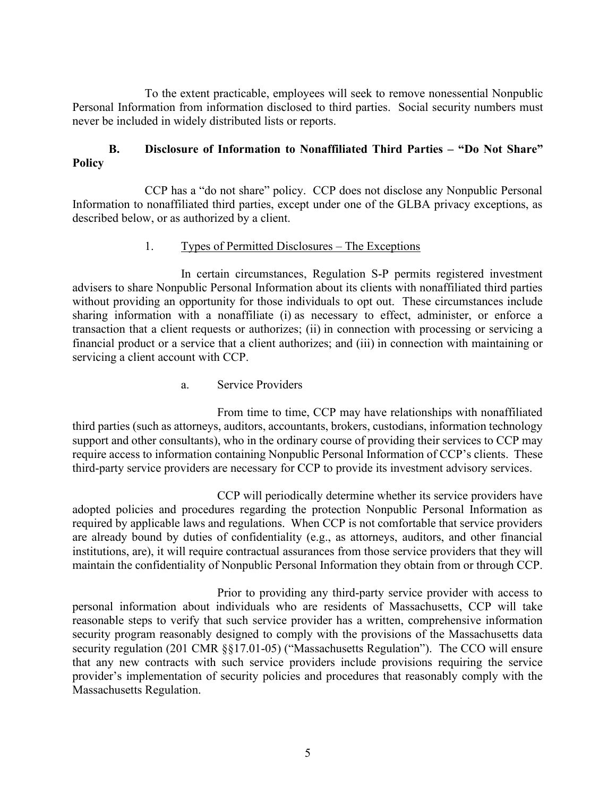To the extent practicable, employees will seek to remove nonessential Nonpublic Personal Information from information disclosed to third parties. Social security numbers must never be included in widely distributed lists or reports.

## **B. Disclosure of Information to Nonaffiliated Third Parties – "Do Not Share" Policy**

CCP has a "do not share" policy. CCP does not disclose any Nonpublic Personal Information to nonaffiliated third parties, except under one of the GLBA privacy exceptions, as described below, or as authorized by a client.

#### 1. Types of Permitted Disclosures – The Exceptions

In certain circumstances, Regulation S-P permits registered investment advisers to share Nonpublic Personal Information about its clients with nonaffiliated third parties without providing an opportunity for those individuals to opt out. These circumstances include sharing information with a nonaffiliate (i) as necessary to effect, administer, or enforce a transaction that a client requests or authorizes; (ii) in connection with processing or servicing a financial product or a service that a client authorizes; and (iii) in connection with maintaining or servicing a client account with CCP.

a. Service Providers

From time to time, CCP may have relationships with nonaffiliated third parties (such as attorneys, auditors, accountants, brokers, custodians, information technology support and other consultants), who in the ordinary course of providing their services to CCP may require access to information containing Nonpublic Personal Information of CCP's clients. These third-party service providers are necessary for CCP to provide its investment advisory services.

CCP will periodically determine whether its service providers have adopted policies and procedures regarding the protection Nonpublic Personal Information as required by applicable laws and regulations. When CCP is not comfortable that service providers are already bound by duties of confidentiality (e.g., as attorneys, auditors, and other financial institutions, are), it will require contractual assurances from those service providers that they will maintain the confidentiality of Nonpublic Personal Information they obtain from or through CCP.

Prior to providing any third-party service provider with access to personal information about individuals who are residents of Massachusetts, CCP will take reasonable steps to verify that such service provider has a written, comprehensive information security program reasonably designed to comply with the provisions of the Massachusetts data security regulation (201 CMR §§17.01-05) ("Massachusetts Regulation"). The CCO will ensure that any new contracts with such service providers include provisions requiring the service provider's implementation of security policies and procedures that reasonably comply with the Massachusetts Regulation.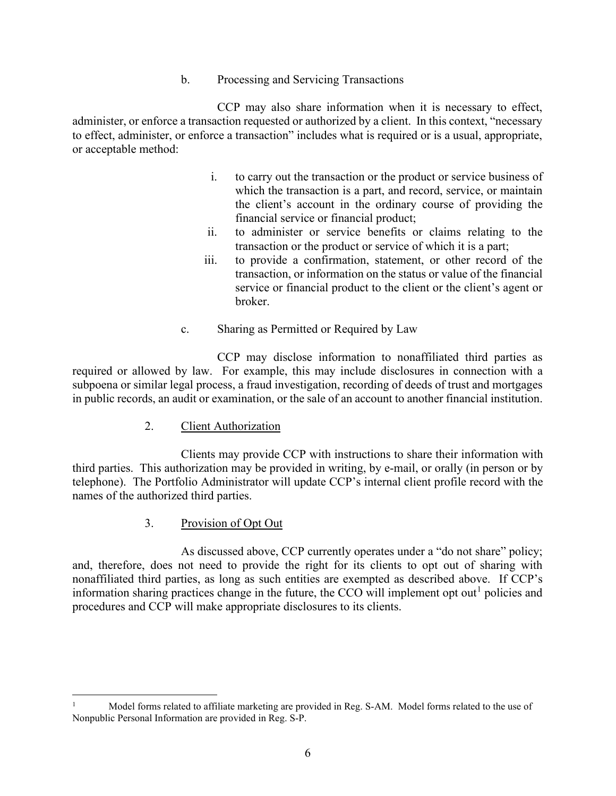b. Processing and Servicing Transactions

CCP may also share information when it is necessary to effect, administer, or enforce a transaction requested or authorized by a client. In this context, "necessary to effect, administer, or enforce a transaction" includes what is required or is a usual, appropriate, or acceptable method:

- i. to carry out the transaction or the product or service business of which the transaction is a part, and record, service, or maintain the client's account in the ordinary course of providing the financial service or financial product;
- ii. to administer or service benefits or claims relating to the transaction or the product or service of which it is a part;
- iii. to provide a confirmation, statement, or other record of the transaction, or information on the status or value of the financial service or financial product to the client or the client's agent or broker.
- c. Sharing as Permitted or Required by Law

CCP may disclose information to nonaffiliated third parties as required or allowed by law. For example, this may include disclosures in connection with a subpoena or similar legal process, a fraud investigation, recording of deeds of trust and mortgages in public records, an audit or examination, or the sale of an account to another financial institution.

2. Client Authorization

Clients may provide CCP with instructions to share their information with third parties. This authorization may be provided in writing, by e-mail, or orally (in person or by telephone). The Portfolio Administrator will update CCP's internal client profile record with the names of the authorized third parties.

3. Provision of Opt Out

As discussed above, CCP currently operates under a "do not share" policy; and, therefore, does not need to provide the right for its clients to opt out of sharing with nonaffiliated third parties, as long as such entities are exempted as described above. If CCP's information sharing practices change in the future, the CCO will implement opt out<sup>[1](#page-5-0)</sup> policies and procedures and CCP will make appropriate disclosures to its clients.

<span id="page-5-0"></span><sup>1</sup> Model forms related to affiliate marketing are provided in Reg. S-AM. Model forms related to the use of Nonpublic Personal Information are provided in Reg. S-P.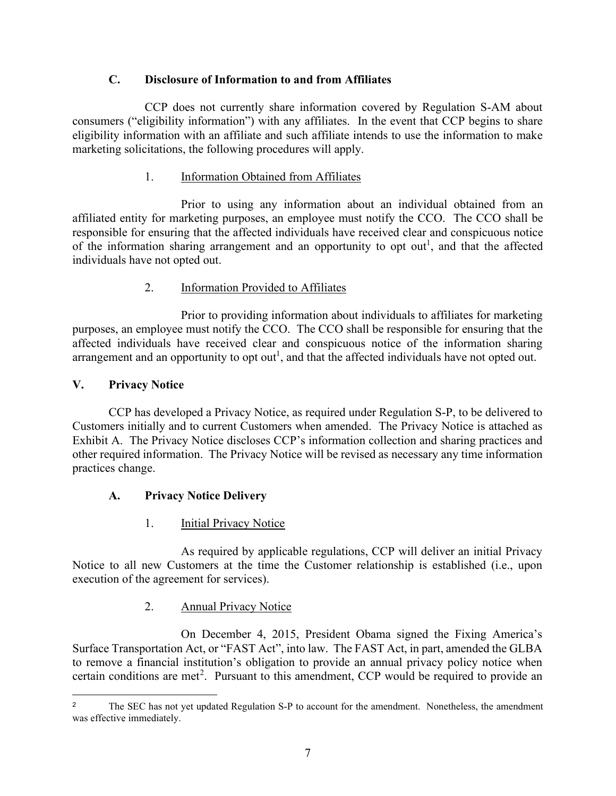## **C. Disclosure of Information to and from Affiliates**

CCP does not currently share information covered by Regulation S-AM about consumers ("eligibility information") with any affiliates. In the event that CCP begins to share eligibility information with an affiliate and such affiliate intends to use the information to make marketing solicitations, the following procedures will apply.

#### 1. Information Obtained from Affiliates

Prior to using any information about an individual obtained from an affiliated entity for marketing purposes, an employee must notify the CCO. The CCO shall be responsible for ensuring that the affected individuals have received clear and conspicuous notice of the information sharing arrangement and an opportunity to opt out<sup>1</sup>, and that the affected individuals have not opted out.

## 2. Information Provided to Affiliates

Prior to providing information about individuals to affiliates for marketing purposes, an employee must notify the CCO. The CCO shall be responsible for ensuring that the affected individuals have received clear and conspicuous notice of the information sharing arrangement and an opportunity to opt out<sup>1</sup>, and that the affected individuals have not opted out.

#### **V. Privacy Notice**

CCP has developed a Privacy Notice, as required under Regulation S-P, to be delivered to Customers initially and to current Customers when amended. The Privacy Notice is attached as Exhibit A. The Privacy Notice discloses CCP's information collection and sharing practices and other required information. The Privacy Notice will be revised as necessary any time information practices change.

## **A. Privacy Notice Delivery**

1. **Initial Privacy Notice** 

As required by applicable regulations, CCP will deliver an initial Privacy Notice to all new Customers at the time the Customer relationship is established (i.e., upon execution of the agreement for services).

## 2. Annual Privacy Notice

On December 4, 2015, President Obama signed the Fixing America's Surface Transportation Act, or "FAST Act", into law. The FAST Act, in part, amended the GLBA to remove a financial institution's obligation to provide an annual privacy policy notice when certain conditions are met<sup>[2](#page-6-0)</sup>. Pursuant to this amendment, CCP would be required to provide an

<span id="page-6-0"></span><sup>&</sup>lt;sup>2</sup> The SEC has not yet updated Regulation S-P to account for the amendment. Nonetheless, the amendment was effective immediately.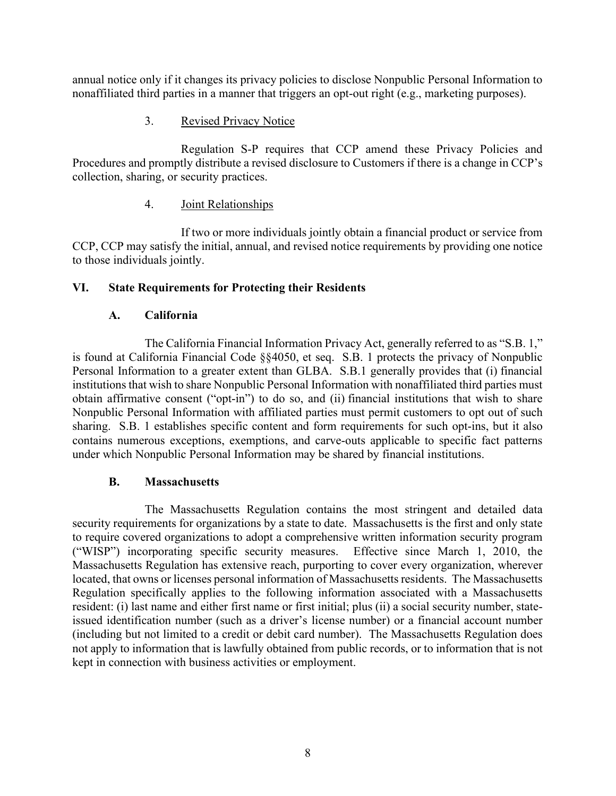annual notice only if it changes its privacy policies to disclose Nonpublic Personal Information to nonaffiliated third parties in a manner that triggers an opt-out right (e.g., marketing purposes).

#### 3. Revised Privacy Notice

Regulation S-P requires that CCP amend these Privacy Policies and Procedures and promptly distribute a revised disclosure to Customers if there is a change in CCP's collection, sharing, or security practices.

#### 4. Joint Relationships

If two or more individuals jointly obtain a financial product or service from CCP, CCP may satisfy the initial, annual, and revised notice requirements by providing one notice to those individuals jointly.

#### **VI. State Requirements for Protecting their Residents**

#### **A. California**

The California Financial Information Privacy Act, generally referred to as "S.B. 1," is found at California Financial Code §§4050, et seq. S.B. 1 protects the privacy of Nonpublic Personal Information to a greater extent than GLBA. S.B.1 generally provides that (i) financial institutions that wish to share Nonpublic Personal Information with nonaffiliated third parties must obtain affirmative consent ("opt-in") to do so, and (ii) financial institutions that wish to share Nonpublic Personal Information with affiliated parties must permit customers to opt out of such sharing. S.B. 1 establishes specific content and form requirements for such opt-ins, but it also contains numerous exceptions, exemptions, and carve-outs applicable to specific fact patterns under which Nonpublic Personal Information may be shared by financial institutions.

## **B. Massachusetts**

The Massachusetts Regulation contains the most stringent and detailed data security requirements for organizations by a state to date. Massachusetts is the first and only state to require covered organizations to adopt a comprehensive written information security program ("WISP") incorporating specific security measures. Effective since March 1, 2010, the Massachusetts Regulation has extensive reach, purporting to cover every organization, wherever located, that owns or licenses personal information of Massachusetts residents. The Massachusetts Regulation specifically applies to the following information associated with a Massachusetts resident: (i) last name and either first name or first initial; plus (ii) a social security number, stateissued identification number (such as a driver's license number) or a financial account number (including but not limited to a credit or debit card number). The Massachusetts Regulation does not apply to information that is lawfully obtained from public records, or to information that is not kept in connection with business activities or employment.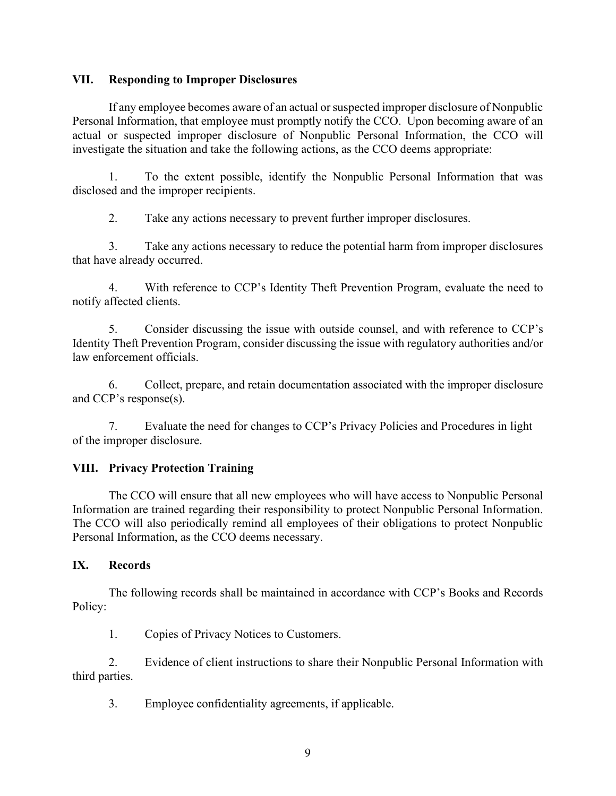#### **VII. Responding to Improper Disclosures**

If any employee becomes aware of an actual or suspected improper disclosure of Nonpublic Personal Information, that employee must promptly notify the CCO. Upon becoming aware of an actual or suspected improper disclosure of Nonpublic Personal Information, the CCO will investigate the situation and take the following actions, as the CCO deems appropriate:

1. To the extent possible, identify the Nonpublic Personal Information that was disclosed and the improper recipients.

2. Take any actions necessary to prevent further improper disclosures.

3. Take any actions necessary to reduce the potential harm from improper disclosures that have already occurred.

4. With reference to CCP's Identity Theft Prevention Program, evaluate the need to notify affected clients.

5. Consider discussing the issue with outside counsel, and with reference to CCP's Identity Theft Prevention Program, consider discussing the issue with regulatory authorities and/or law enforcement officials.

6. Collect, prepare, and retain documentation associated with the improper disclosure and CCP's response(s).

7. Evaluate the need for changes to CCP's Privacy Policies and Procedures in light of the improper disclosure.

# **VIII. Privacy Protection Training**

The CCO will ensure that all new employees who will have access to Nonpublic Personal Information are trained regarding their responsibility to protect Nonpublic Personal Information. The CCO will also periodically remind all employees of their obligations to protect Nonpublic Personal Information, as the CCO deems necessary.

## **IX. Records**

The following records shall be maintained in accordance with CCP's Books and Records Policy:

1. Copies of Privacy Notices to Customers.

2. Evidence of client instructions to share their Nonpublic Personal Information with third parties.

3. Employee confidentiality agreements, if applicable.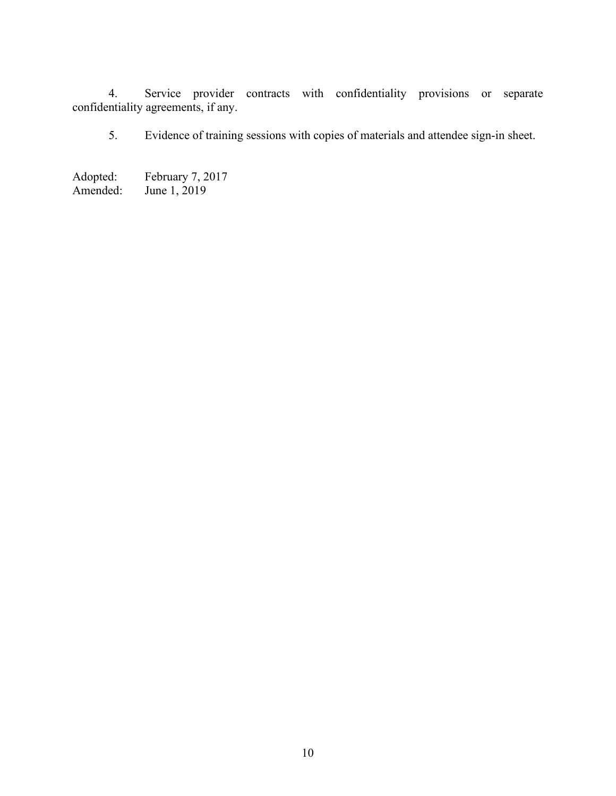4. Service provider contracts with confidentiality provisions or separate confidentiality agreements, if any.

5. Evidence of training sessions with copies of materials and attendee sign-in sheet.

Adopted: February 7, 2017<br>Amended: June 1, 2019 June  $1, 2019$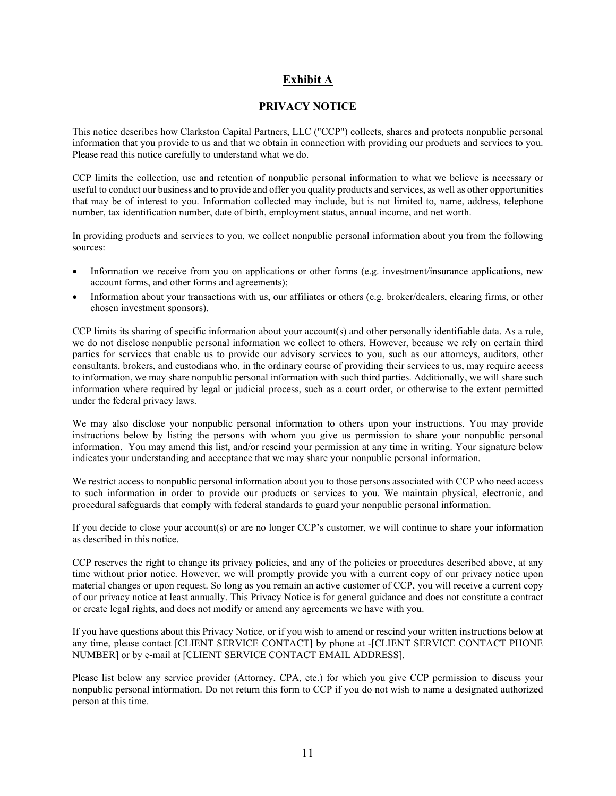#### **Exhibit A**

#### **PRIVACY NOTICE**

This notice describes how Clarkston Capital Partners, LLC ("CCP") collects, shares and protects nonpublic personal information that you provide to us and that we obtain in connection with providing our products and services to you. Please read this notice carefully to understand what we do.

CCP limits the collection, use and retention of nonpublic personal information to what we believe is necessary or useful to conduct our business and to provide and offer you quality products and services, as well as other opportunities that may be of interest to you. Information collected may include, but is not limited to, name, address, telephone number, tax identification number, date of birth, employment status, annual income, and net worth.

In providing products and services to you, we collect nonpublic personal information about you from the following sources:

- Information we receive from you on applications or other forms (e.g. investment/insurance applications, new account forms, and other forms and agreements);
- Information about your transactions with us, our affiliates or others (e.g. broker/dealers, clearing firms, or other chosen investment sponsors).

CCP limits its sharing of specific information about your account(s) and other personally identifiable data. As a rule, we do not disclose nonpublic personal information we collect to others. However, because we rely on certain third parties for services that enable us to provide our advisory services to you, such as our attorneys, auditors, other consultants, brokers, and custodians who, in the ordinary course of providing their services to us, may require access to information, we may share nonpublic personal information with such third parties. Additionally, we will share such information where required by legal or judicial process, such as a court order, or otherwise to the extent permitted under the federal privacy laws.

We may also disclose your nonpublic personal information to others upon your instructions. You may provide instructions below by listing the persons with whom you give us permission to share your nonpublic personal information. You may amend this list, and/or rescind your permission at any time in writing. Your signature below indicates your understanding and acceptance that we may share your nonpublic personal information.

We restrict access to nonpublic personal information about you to those persons associated with CCP who need access to such information in order to provide our products or services to you. We maintain physical, electronic, and procedural safeguards that comply with federal standards to guard your nonpublic personal information.

If you decide to close your account(s) or are no longer CCP's customer, we will continue to share your information as described in this notice.

CCP reserves the right to change its privacy policies, and any of the policies or procedures described above, at any time without prior notice. However, we will promptly provide you with a current copy of our privacy notice upon material changes or upon request. So long as you remain an active customer of CCP, you will receive a current copy of our privacy notice at least annually. This Privacy Notice is for general guidance and does not constitute a contract or create legal rights, and does not modify or amend any agreements we have with you.

If you have questions about this Privacy Notice, or if you wish to amend or rescind your written instructions below at any time, please contact [CLIENT SERVICE CONTACT] by phone at -[CLIENT SERVICE CONTACT PHONE NUMBER] or by e-mail at [CLIENT SERVICE CONTACT EMAIL ADDRESS].

Please list below any service provider (Attorney, CPA, etc.) for which you give CCP permission to discuss your nonpublic personal information. Do not return this form to CCP if you do not wish to name a designated authorized person at this time.